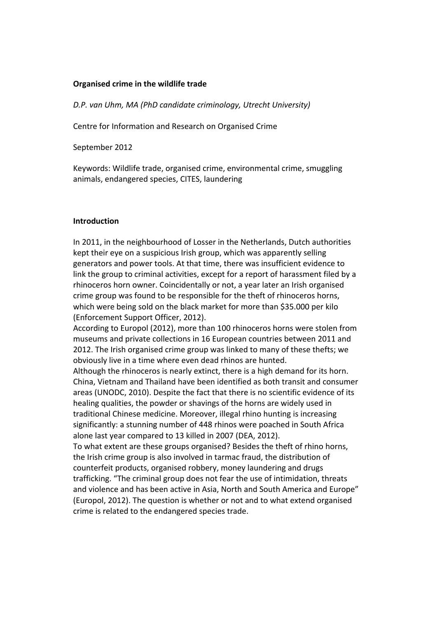# **Organised crime in the wildlife trade**

*D.P. van\$Uhm,\$MA (PhD\$candidate\$criminology,\$Utrecht\$University)\$*

Centre for Information and Research on Organised Crime

September 2012

Keywords: Wildlife trade, organised crime, environmental crime, smuggling animals, endangered species, CITES, laundering

### **Introduction**

In 2011, in the neighbourhood of Losser in the Netherlands, Dutch authorities kept their eye on a suspicious Irish group, which was apparently selling generators and power tools. At that time, there was insufficient evidence to link the group to criminal activities, except for a report of harassment filed by a rhinoceros horn owner. Coincidentally or not, a year later an Irish organised crime group was found to be responsible for the theft of rhinoceros horns, which were being sold on the black market for more than \$35.000 per kilo (Enforcement Support Officer, 2012).

According to Europol (2012), more than 100 rhinoceros horns were stolen from museums and private collections in 16 European countries between 2011 and 2012. The Irish organised crime group was linked to many of these thefts; we obviously live in a time where even dead rhinos are hunted.

Although the rhinoceros is nearly extinct, there is a high demand for its horn. China, Vietnam and Thailand have been identified as both transit and consumer areas (UNODC, 2010). Despite the fact that there is no scientific evidence of its healing qualities, the powder or shavings of the horns are widely used in traditional Chinese medicine. Moreover, illegal rhino hunting is increasing significantly: a stunning number of 448 rhinos were poached in South Africa alone last year compared to 13 killed in 2007 (DEA, 2012).

To what extent are these groups organised? Besides the theft of rhino horns, the Irish crime group is also involved in tarmac fraud, the distribution of counterfeit products, organised robbery, money laundering and drugs trafficking. "The criminal group does not fear the use of intimidation, threats and violence and has been active in Asia, North and South America and Europe" (Europol, 2012). The question is whether or not and to what extend organised crime is related to the endangered species trade.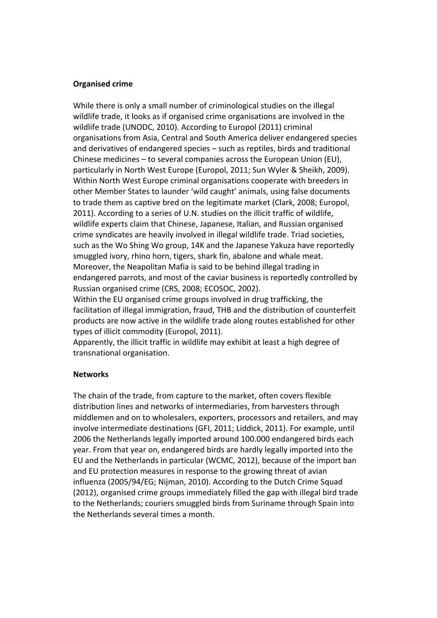## **Organised crime**

While there is only a small number of criminological studies on the illegal wildlife trade, it looks as if organised crime organisations are involved in the wildlife trade (UNODC, 2010). According to Europol (2011) criminal organisations from Asia, Central and South America deliver endangered species and derivatives of endangered species – such as reptiles, birds and traditional Chinese medicines – to several companies across the European Union (EU), particularly in North West Europe (Europol, 2011; Sun Wyler & Sheikh, 2009). Within North West Europe criminal organisations cooperate with breeders in other Member States to launder 'wild caught' animals, using false documents to trade them as captive bred on the legitimate market (Clark, 2008; Europol, 2011). According to a series of U.N. studies on the illicit traffic of wildlife, wildlife experts claim that Chinese, Japanese, Italian, and Russian organised crime syndicates are heavily involved in illegal wildlife trade. Triad societies, such as the Wo Shing Wo group, 14K and the Japanese Yakuza have reportedly smuggled ivory, rhino horn, tigers, shark fin, abalone and whale meat. Moreover, the Neapolitan Mafia is said to be behind illegal trading in endangered parrots, and most of the caviar business is reportedly controlled by Russian organised crime (CRS, 2008; ECOSOC, 2002).

Within the EU organised crime groups involved in drug trafficking, the facilitation of illegal immigration, fraud, THB and the distribution of counterfeit products are now active in the wildlife trade along routes established for other types of illicit commodity (Europol, 2011).

Apparently, the illicit traffic in wildlife may exhibit at least a high degree of transnational organisation.

### **Networks**

The chain of the trade, from capture to the market, often covers flexible distribution lines and networks of intermediaries, from harvesters through middlemen and on to wholesalers, exporters, processors and retailers, and may involve intermediate destinations (GFI, 2011; Liddick, 2011). For example, until 2006 the Netherlands legally imported around 100.000 endangered birds each year. From that year on, endangered birds are hardly legally imported into the EU and the Netherlands in particular (WCMC, 2012), because of the import ban and EU protection measures in response to the growing threat of avian influenza (2005/94/EG; Nijman, 2010). According to the Dutch Crime Squad (2012), organised crime groups immediately filled the gap with illegal bird trade to the Netherlands; couriers smuggled birds from Suriname through Spain into the Netherlands several times a month.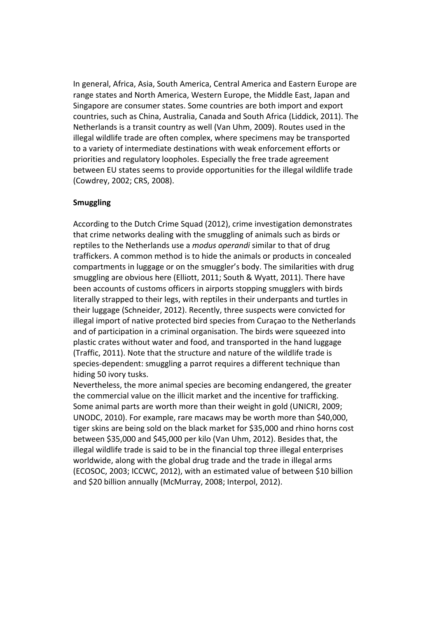In general, Africa, Asia, South America, Central America and Eastern Europe are range states and North America, Western Europe, the Middle East, Japan and Singapore are consumer states. Some countries are both import and export countries, such as China, Australia, Canada and South Africa (Liddick, 2011). The Netherlands is a transit country as well (Van Uhm, 2009). Routes used in the illegal wildlife trade are often complex, where specimens may be transported to a variety of intermediate destinations with weak enforcement efforts or priorities and regulatory loopholes. Especially the free trade agreement between EU states seems to provide opportunities for the illegal wildlife trade (Cowdrey, 2002; CRS, 2008).

# **Smuggling\***

According to the Dutch Crime Squad (2012), crime investigation demonstrates that crime networks dealing with the smuggling of animals such as birds or reptiles to the Netherlands use a *modus operandi* similar to that of drug traffickers. A common method is to hide the animals or products in concealed compartments in luggage or on the smuggler's body. The similarities with drug smuggling are obvious here (Elliott, 2011; South & Wyatt, 2011). There have been accounts of customs officers in airports stopping smugglers with birds literally strapped to their legs, with reptiles in their underpants and turtles in their luggage (Schneider, 2012). Recently, three suspects were convicted for illegal import of native protected bird species from Curaçao to the Netherlands and of participation in a criminal organisation. The birds were squeezed into plastic crates without water and food, and transported in the hand luggage (Traffic, 2011). Note that the structure and nature of the wildlife trade is species-dependent: smuggling a parrot requires a different technique than hiding 50 ivory tusks.

Nevertheless, the more animal species are becoming endangered, the greater the commercial value on the illicit market and the incentive for trafficking. Some animal parts are worth more than their weight in gold (UNICRI, 2009; UNODC, 2010). For example, rare macaws may be worth more than \$40,000, tiger skins are being sold on the black market for \$35,000 and rhino horns cost between \$35,000 and \$45,000 per kilo (Van Uhm, 2012). Besides that, the illegal wildlife trade is said to be in the financial top three illegal enterprises worldwide, along with the global drug trade and the trade in illegal arms (ECOSOC, 2003; ICCWC, 2012), with an estimated value of between \$10 billion and \$20 billion annually (McMurray, 2008; Interpol, 2012).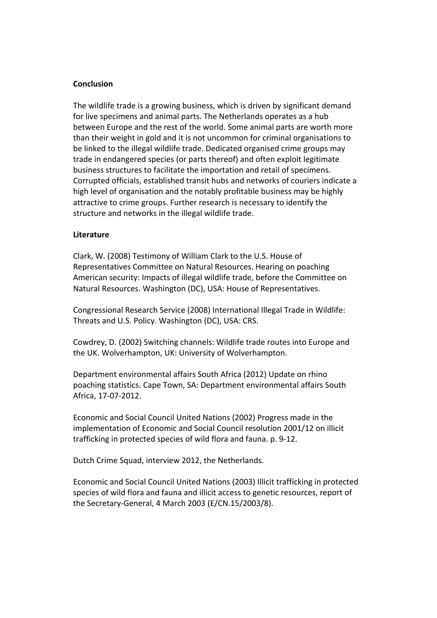## **Conclusion**

The wildlife trade is a growing business, which is driven by significant demand for live specimens and animal parts. The Netherlands operates as a hub between Europe and the rest of the world. Some animal parts are worth more than their weight in gold and it is not uncommon for criminal organisations to be linked to the illegal wildlife trade. Dedicated organised crime groups may trade in endangered species (or parts thereof) and often exploit legitimate business structures to facilitate the importation and retail of specimens. Corrupted officials, established transit hubs and networks of couriers indicate a high level of organisation and the notably profitable business may be highly attractive to crime groups. Further research is necessary to identify the structure and networks in the illegal wildlife trade.

### **Literature**

Clark, W. (2008) Testimony of William Clark to the U.S. House of Representatives Committee on Natural Resources. Hearing on poaching American security: Impacts of illegal wildlife trade, before the Committee on Natural Resources. Washington (DC), USA: House of Representatives.

Congressional Research Service (2008) International Illegal Trade in Wildlife: Threats and U.S. Policy. Washington (DC), USA: CRS.

Cowdrey, D. (2002) Switching channels: Wildlife trade routes into Europe and the UK. Wolverhampton, UK: University of Wolverhampton.

Department environmental affairs South Africa (2012) Update on rhino poaching statistics. Cape Town, SA: Department environmental affairs South Africa, 17-07-2012.

Economic and Social Council United Nations (2002) Progress made in the implementation of Economic and Social Council resolution 2001/12 on illicit trafficking in protected species of wild flora and fauna. p. 9-12.

Dutch Crime Squad, interview 2012, the Netherlands.

Economic and Social Council United Nations (2003) Illicit trafficking in protected species of wild flora and fauna and illicit access to genetic resources, report of the Secretary-General, 4 March 2003 (E/CN.15/2003/8).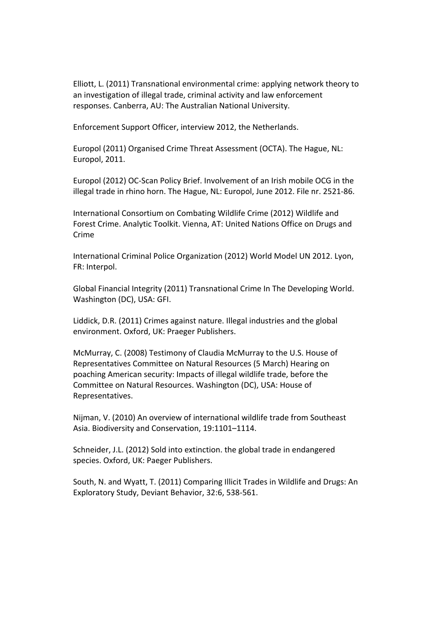Elliott, L. (2011) Transnational environmental crime: applying network theory to an investigation of illegal trade, criminal activity and law enforcement responses. Canberra, AU: The Australian National University.

Enforcement Support Officer, interview 2012, the Netherlands.

Europol (2011) Organised Crime Threat Assessment (OCTA). The Hague, NL: Europol, 2011.

Europol (2012) OC-Scan Policy Brief. Involvement of an Irish mobile OCG in the illegal trade in rhino horn. The Hague, NL: Europol, June 2012. File nr. 2521-86.

International Consortium on Combating Wildlife Crime (2012) Wildlife and Forest Crime. Analytic Toolkit. Vienna, AT: United Nations Office on Drugs and Crime

International Criminal Police Organization (2012) World Model UN 2012. Lyon, FR: Interpol.

Global Financial Integrity (2011) Transnational Crime In The Developing World. Washington (DC), USA: GFI.

Liddick, D.R. (2011) Crimes against nature. Illegal industries and the global environment. Oxford, UK: Praeger Publishers.

McMurray, C. (2008) Testimony of Claudia McMurray to the U.S. House of Representatives Committee on Natural Resources (5 March) Hearing on poaching American security: Impacts of illegal wildlife trade, before the Committee on Natural Resources. Washington (DC), USA: House of Representatives.

Nijman, V. (2010) An overview of international wildlife trade from Southeast Asia. Biodiversity and Conservation, 19:1101-1114.

Schneider, J.L. (2012) Sold into extinction. the global trade in endangered species. Oxford, UK: Paeger Publishers.

South, N. and Wyatt, T. (2011) Comparing Illicit Trades in Wildlife and Drugs: An Exploratory Study, Deviant Behavior, 32:6, 538-561.